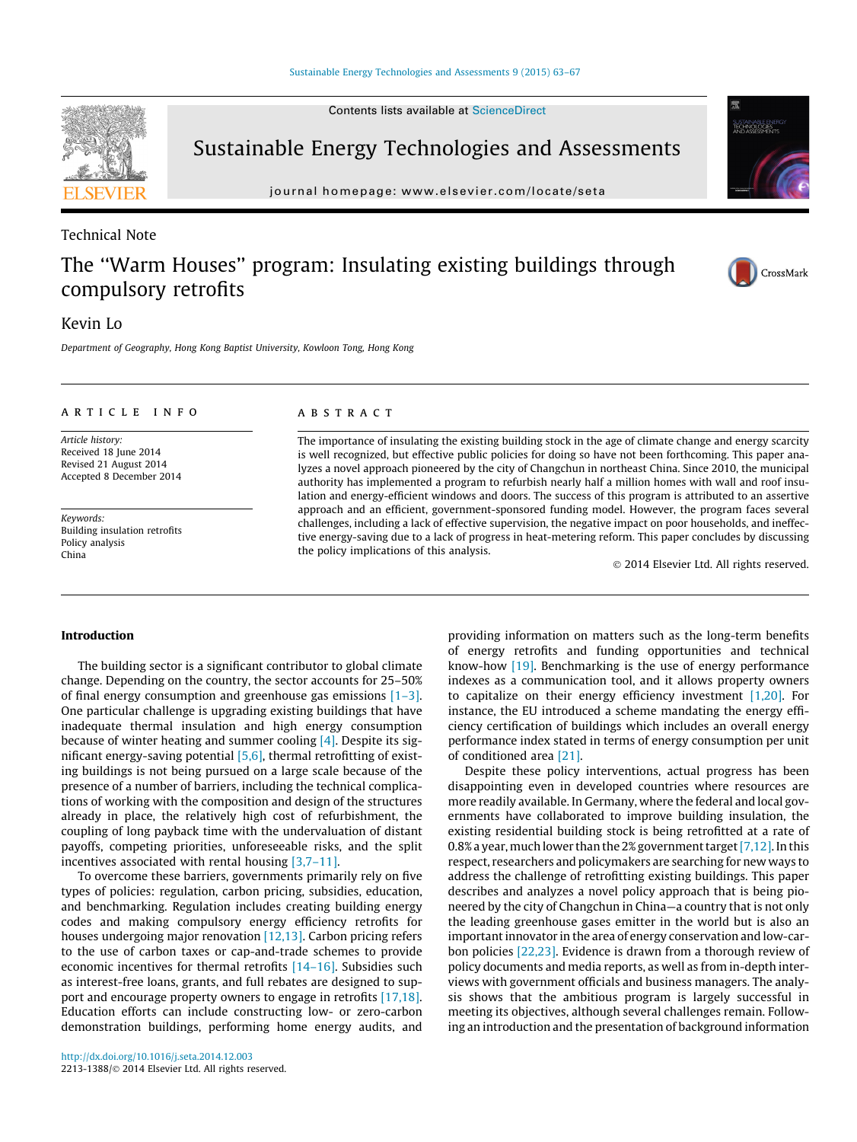Contents lists available at [ScienceDirect](http://www.sciencedirect.com/science/journal/22131388)

# Sustainable Energy Technologies and Assessments

journal homepage: [www.elsevier.com/locate/seta](http://www.elsevier.com/locate/seta)

## Technical Note

# The ''Warm Houses'' program: Insulating existing buildings through compulsory retrofits

## Kevin Lo

Department of Geography, Hong Kong Baptist University, Kowloon Tong, Hong Kong

### article info

Article history: Received 18 June 2014 Revised 21 August 2014 Accepted 8 December 2014

Keywords: Building insulation retrofits Policy analysis China

#### **ABSTRACT**

The importance of insulating the existing building stock in the age of climate change and energy scarcity is well recognized, but effective public policies for doing so have not been forthcoming. This paper analyzes a novel approach pioneered by the city of Changchun in northeast China. Since 2010, the municipal authority has implemented a program to refurbish nearly half a million homes with wall and roof insulation and energy-efficient windows and doors. The success of this program is attributed to an assertive approach and an efficient, government-sponsored funding model. However, the program faces several challenges, including a lack of effective supervision, the negative impact on poor households, and ineffective energy-saving due to a lack of progress in heat-metering reform. This paper concludes by discussing the policy implications of this analysis.

- 2014 Elsevier Ltd. All rights reserved.

#### Introduction

The building sector is a significant contributor to global climate change. Depending on the country, the sector accounts for 25–50% of final energy consumption and greenhouse gas emissions  $[1-3]$ . One particular challenge is upgrading existing buildings that have inadequate thermal insulation and high energy consumption because of winter heating and summer cooling [\[4\]](#page-4-0). Despite its significant energy-saving potential [\[5,6\]](#page-4-0), thermal retrofitting of existing buildings is not being pursued on a large scale because of the presence of a number of barriers, including the technical complications of working with the composition and design of the structures already in place, the relatively high cost of refurbishment, the coupling of long payback time with the undervaluation of distant payoffs, competing priorities, unforeseeable risks, and the split incentives associated with rental housing [\[3,7–11\]](#page-4-0).

To overcome these barriers, governments primarily rely on five types of policies: regulation, carbon pricing, subsidies, education, and benchmarking. Regulation includes creating building energy codes and making compulsory energy efficiency retrofits for houses undergoing major renovation [\[12,13\]](#page-4-0). Carbon pricing refers to the use of carbon taxes or cap-and-trade schemes to provide economic incentives for thermal retrofits [\[14–16\].](#page-4-0) Subsidies such as interest-free loans, grants, and full rebates are designed to support and encourage property owners to engage in retrofits [\[17,18\].](#page-4-0) Education efforts can include constructing low- or zero-carbon demonstration buildings, performing home energy audits, and providing information on matters such as the long-term benefits of energy retrofits and funding opportunities and technical know-how [\[19\]](#page-4-0). Benchmarking is the use of energy performance indexes as a communication tool, and it allows property owners to capitalize on their energy efficiency investment  $[1,20]$ . For instance, the EU introduced a scheme mandating the energy efficiency certification of buildings which includes an overall energy performance index stated in terms of energy consumption per unit of conditioned area [\[21\]](#page-4-0).

Despite these policy interventions, actual progress has been disappointing even in developed countries where resources are more readily available. In Germany, where the federal and local governments have collaborated to improve building insulation, the existing residential building stock is being retrofitted at a rate of 0.8% a year, much lower than the 2% government target  $[7,12]$ . In this respect, researchers and policymakers are searching for new ways to address the challenge of retrofitting existing buildings. This paper describes and analyzes a novel policy approach that is being pioneered by the city of Changchun in China—a country that is not only the leading greenhouse gases emitter in the world but is also an important innovator in the area of energy conservation and low-carbon policies [\[22,23\]](#page-4-0). Evidence is drawn from a thorough review of policy documents and media reports, as well as from in-depth interviews with government officials and business managers. The analysis shows that the ambitious program is largely successful in meeting its objectives, although several challenges remain. Following an introduction and the presentation of background information





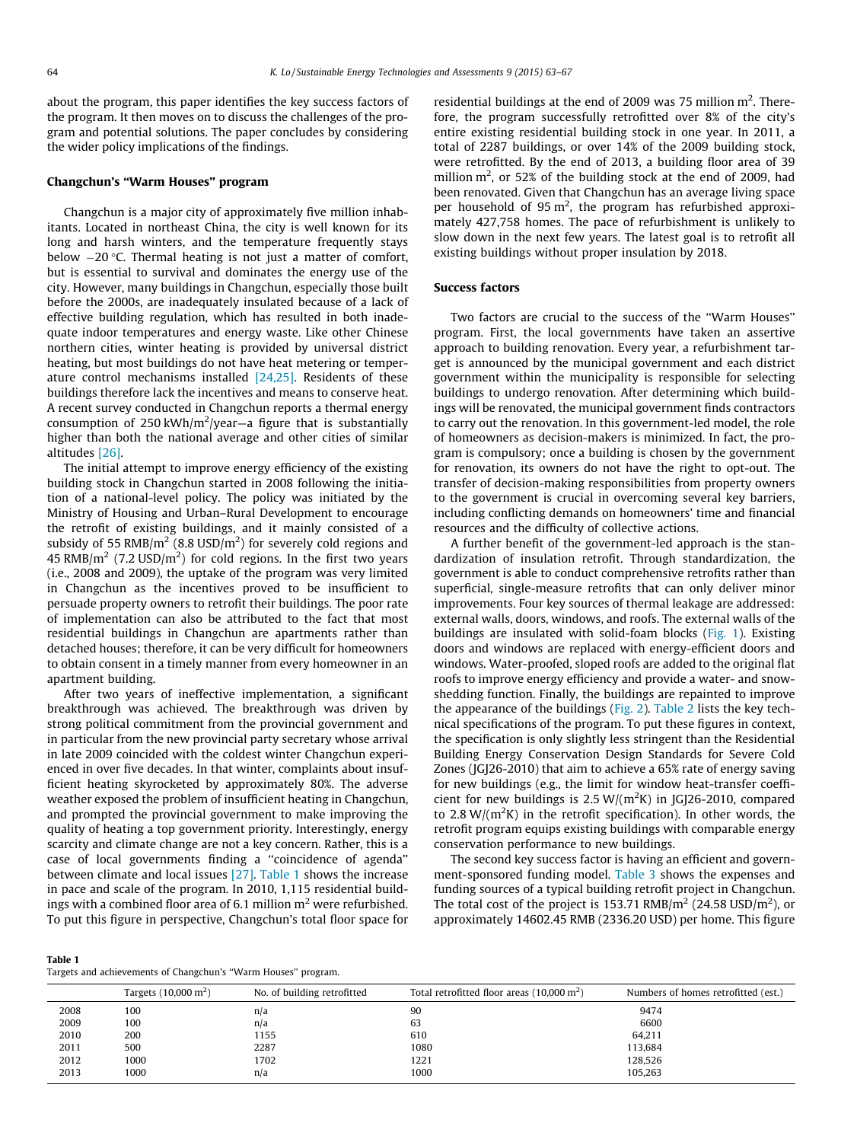about the program, this paper identifies the key success factors of the program. It then moves on to discuss the challenges of the program and potential solutions. The paper concludes by considering the wider policy implications of the findings.

#### Changchun's ''Warm Houses'' program

Changchun is a major city of approximately five million inhabitants. Located in northeast China, the city is well known for its long and harsh winters, and the temperature frequently stays below –20 °C. Thermal heating is not just a matter of comfort, but is essential to survival and dominates the energy use of the city. However, many buildings in Changchun, especially those built before the 2000s, are inadequately insulated because of a lack of effective building regulation, which has resulted in both inadequate indoor temperatures and energy waste. Like other Chinese northern cities, winter heating is provided by universal district heating, but most buildings do not have heat metering or temperature control mechanisms installed [\[24,25\]](#page-4-0). Residents of these buildings therefore lack the incentives and means to conserve heat. A recent survey conducted in Changchun reports a thermal energy consumption of 250 kWh/m<sup>2</sup>/year–a figure that is substantially higher than both the national average and other cities of similar altitudes [\[26\].](#page-4-0)

The initial attempt to improve energy efficiency of the existing building stock in Changchun started in 2008 following the initiation of a national-level policy. The policy was initiated by the Ministry of Housing and Urban–Rural Development to encourage the retrofit of existing buildings, and it mainly consisted of a subsidy of 55 RMB/m<sup>2</sup> (8.8 USD/m<sup>2</sup>) for severely cold regions and 45 RMB/m<sup>2</sup> (7.2 USD/m<sup>2</sup>) for cold regions. In the first two years (i.e., 2008 and 2009), the uptake of the program was very limited in Changchun as the incentives proved to be insufficient to persuade property owners to retrofit their buildings. The poor rate of implementation can also be attributed to the fact that most residential buildings in Changchun are apartments rather than detached houses; therefore, it can be very difficult for homeowners to obtain consent in a timely manner from every homeowner in an apartment building.

After two years of ineffective implementation, a significant breakthrough was achieved. The breakthrough was driven by strong political commitment from the provincial government and in particular from the new provincial party secretary whose arrival in late 2009 coincided with the coldest winter Changchun experienced in over five decades. In that winter, complaints about insufficient heating skyrocketed by approximately 80%. The adverse weather exposed the problem of insufficient heating in Changchun, and prompted the provincial government to make improving the quality of heating a top government priority. Interestingly, energy scarcity and climate change are not a key concern. Rather, this is a case of local governments finding a ''coincidence of agenda'' between climate and local issues [\[27\]](#page-4-0). Table 1 shows the increase in pace and scale of the program. In 2010, 1,115 residential buildings with a combined floor area of 6.1 million  $m<sup>2</sup>$  were refurbished. To put this figure in perspective, Changchun's total floor space for residential buildings at the end of 2009 was 75 million  $m^2$ . Therefore, the program successfully retrofitted over 8% of the city's entire existing residential building stock in one year. In 2011, a total of 2287 buildings, or over 14% of the 2009 building stock, were retrofitted. By the end of 2013, a building floor area of 39 million  $m^2$ , or 52% of the building stock at the end of 2009, had been renovated. Given that Changchun has an average living space per household of  $95 \text{ m}^2$ , the program has refurbished approximately 427,758 homes. The pace of refurbishment is unlikely to slow down in the next few years. The latest goal is to retrofit all existing buildings without proper insulation by 2018.

#### Success factors

Two factors are crucial to the success of the ''Warm Houses'' program. First, the local governments have taken an assertive approach to building renovation. Every year, a refurbishment target is announced by the municipal government and each district government within the municipality is responsible for selecting buildings to undergo renovation. After determining which buildings will be renovated, the municipal government finds contractors to carry out the renovation. In this government-led model, the role of homeowners as decision-makers is minimized. In fact, the program is compulsory; once a building is chosen by the government for renovation, its owners do not have the right to opt-out. The transfer of decision-making responsibilities from property owners to the government is crucial in overcoming several key barriers, including conflicting demands on homeowners' time and financial resources and the difficulty of collective actions.

A further benefit of the government-led approach is the standardization of insulation retrofit. Through standardization, the government is able to conduct comprehensive retrofits rather than superficial, single-measure retrofits that can only deliver minor improvements. Four key sources of thermal leakage are addressed: external walls, doors, windows, and roofs. The external walls of the buildings are insulated with solid-foam blocks ([Fig. 1\)](#page-2-0). Existing doors and windows are replaced with energy-efficient doors and windows. Water-proofed, sloped roofs are added to the original flat roofs to improve energy efficiency and provide a water- and snowshedding function. Finally, the buildings are repainted to improve the appearance of the buildings [\(Fig. 2](#page-2-0)). [Table 2](#page-3-0) lists the key technical specifications of the program. To put these figures in context, the specification is only slightly less stringent than the Residential Building Energy Conservation Design Standards for Severe Cold Zones (JGJ26-2010) that aim to achieve a 65% rate of energy saving for new buildings (e.g., the limit for window heat-transfer coefficient for new buildings is 2.5  $W/(m^2K)$  in JGJ26-2010, compared to 2.8  $W/(m^2K)$  in the retrofit specification). In other words, the retrofit program equips existing buildings with comparable energy conservation performance to new buildings.

The second key success factor is having an efficient and government-sponsored funding model. [Table 3](#page-3-0) shows the expenses and funding sources of a typical building retrofit project in Changchun. The total cost of the project is 153.71 RMB/ $m^2$  (24.58 USD/ $m^2$ ), or approximately 14602.45 RMB (2336.20 USD) per home. This figure

Table 1

| Targets and achievements of Changchun's "Warm Houses" program. |  |  |  |  |  |
|----------------------------------------------------------------|--|--|--|--|--|
|----------------------------------------------------------------|--|--|--|--|--|

|      | Targets $(10,000 \text{ m}^2)$ | No. of building retrofitted | Total retrofitted floor areas $(10,000 \text{ m}^2)$ | Numbers of homes retrofitted (est.) |
|------|--------------------------------|-----------------------------|------------------------------------------------------|-------------------------------------|
| 2008 | 100                            | n/a                         | 90                                                   | 9474                                |
| 2009 | 100                            | n/a                         | 63                                                   | 6600                                |
| 2010 | 200                            | 1155                        | 610                                                  | 64.211                              |
| 2011 | 500                            | 2287                        | 1080                                                 | 113,684                             |
| 2012 | 1000                           | 1702                        | 1221                                                 | 128,526                             |
| 2013 | 1000                           | n/a                         | 1000                                                 | 105,263                             |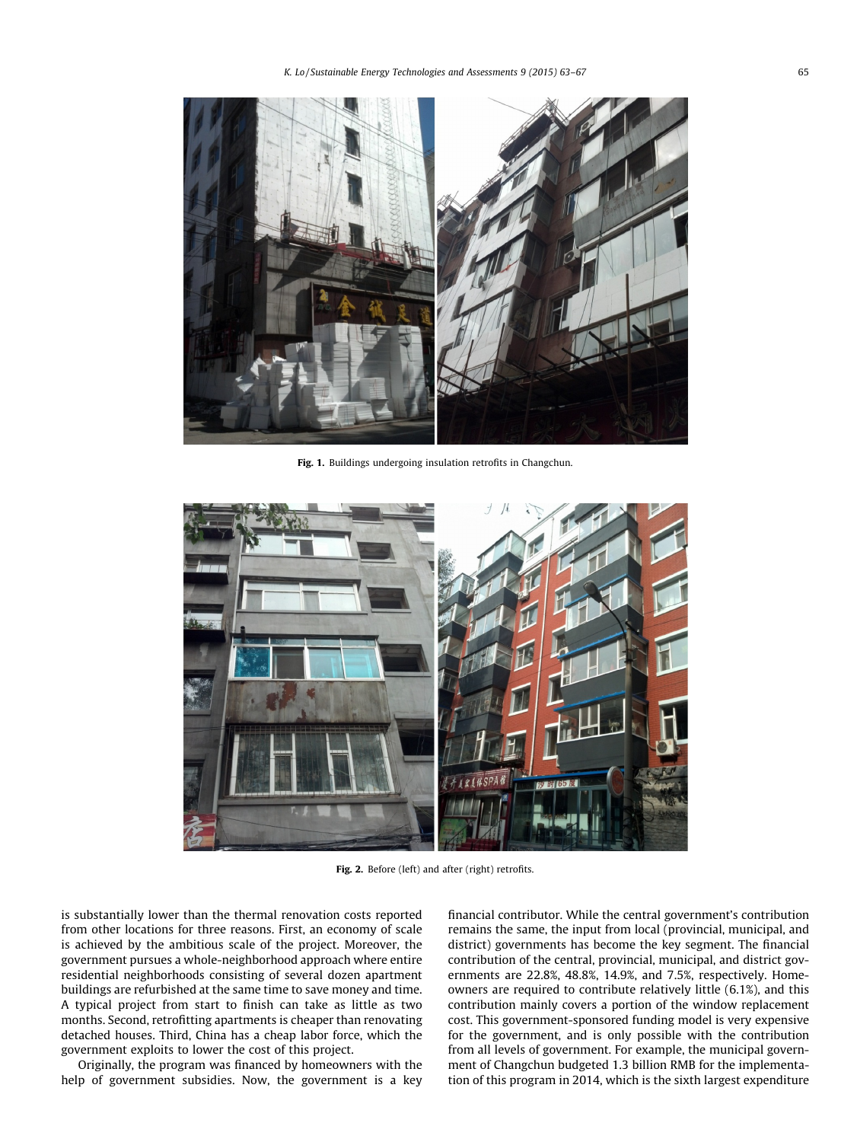<span id="page-2-0"></span>

Fig. 1. Buildings undergoing insulation retrofits in Changchun.



Fig. 2. Before (left) and after (right) retrofits.

is substantially lower than the thermal renovation costs reported from other locations for three reasons. First, an economy of scale is achieved by the ambitious scale of the project. Moreover, the government pursues a whole-neighborhood approach where entire residential neighborhoods consisting of several dozen apartment buildings are refurbished at the same time to save money and time. A typical project from start to finish can take as little as two months. Second, retrofitting apartments is cheaper than renovating detached houses. Third, China has a cheap labor force, which the government exploits to lower the cost of this project.

Originally, the program was financed by homeowners with the help of government subsidies. Now, the government is a key financial contributor. While the central government's contribution remains the same, the input from local (provincial, municipal, and district) governments has become the key segment. The financial contribution of the central, provincial, municipal, and district governments are 22.8%, 48.8%, 14.9%, and 7.5%, respectively. Homeowners are required to contribute relatively little (6.1%), and this contribution mainly covers a portion of the window replacement cost. This government-sponsored funding model is very expensive for the government, and is only possible with the contribution from all levels of government. For example, the municipal government of Changchun budgeted 1.3 billion RMB for the implementation of this program in 2014, which is the sixth largest expenditure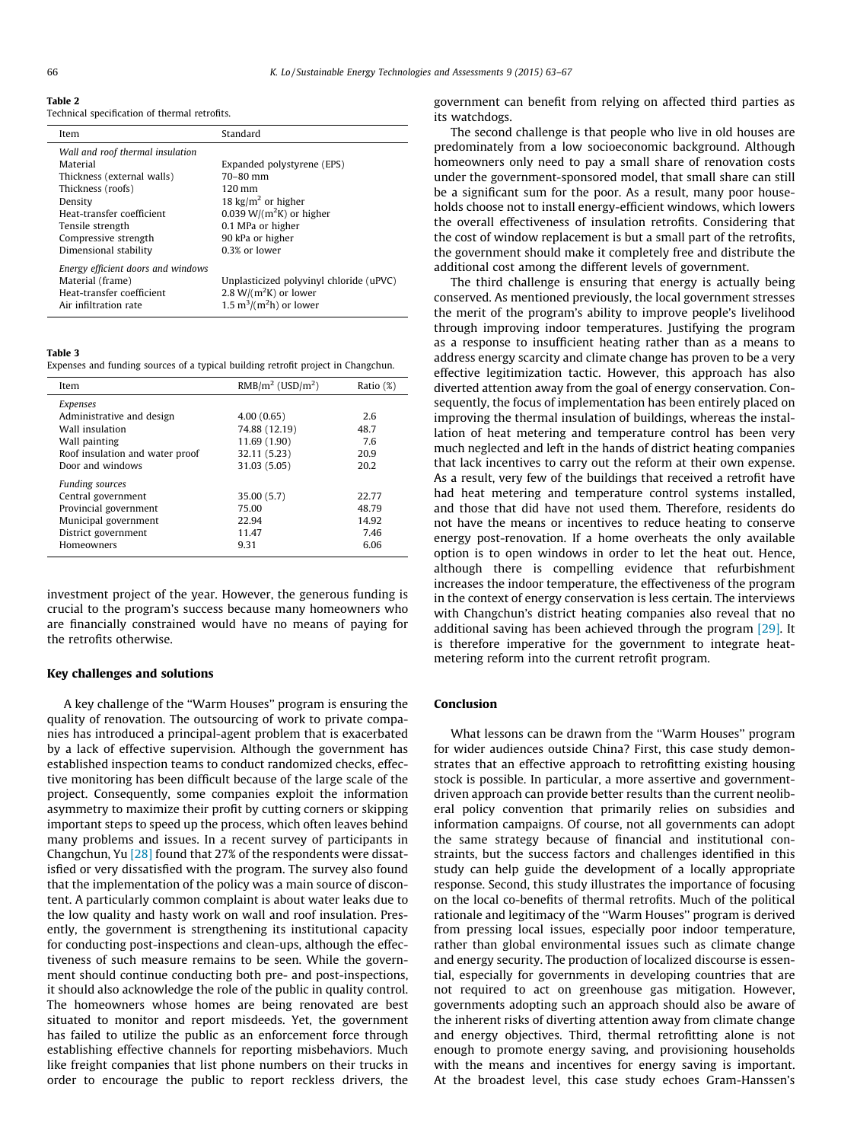<span id="page-3-0"></span>

| Table 2 |                                               |  |  |
|---------|-----------------------------------------------|--|--|
|         | Technical specification of thermal retrofits. |  |  |

| Item                               | Standard                                         |
|------------------------------------|--------------------------------------------------|
| Wall and roof thermal insulation   |                                                  |
| Material                           | Expanded polystyrene (EPS)                       |
| Thickness (external walls)         | 70-80 mm                                         |
| Thickness (roofs)                  | $120 \text{ mm}$                                 |
| Density                            | 18 kg/m <sup>2</sup> or higher                   |
| Heat-transfer coefficient          | 0.039 W/( $m2K$ ) or higher                      |
| Tensile strength                   | 0.1 MPa or higher                                |
| Compressive strength               | 90 kPa or higher                                 |
| Dimensional stability              | 0.3% or lower                                    |
| Energy efficient doors and windows |                                                  |
| Material (frame)                   | Unplasticized polyvinyl chloride (uPVC)          |
| Heat-transfer coefficient          | 2.8 W/( $m^2K$ ) or lower                        |
| Air infiltration rate              | $1.5 \text{ m}^3/(\text{m}^2 \text{h})$ or lower |
|                                    |                                                  |

#### Table 3

Expenses and funding sources of a typical building retrofit project in Changchun.

| Item                            | RMB/m <sup>2</sup> (USD/m <sup>2</sup> ) | Ratio $(\%)$ |
|---------------------------------|------------------------------------------|--------------|
| Expenses                        |                                          |              |
| Administrative and design       | 4.00(0.65)                               | 2.6          |
| Wall insulation                 | 74.88 (12.19)                            | 48.7         |
| Wall painting                   | 11.69 (1.90)                             | 7.6          |
| Roof insulation and water proof | 32.11 (5.23)                             | 20.9         |
| Door and windows                | 31.03 (5.05)                             | 20.2         |
| <b>Funding sources</b>          |                                          |              |
| Central government              | 35.00 (5.7)                              | 22.77        |
| Provincial government           | 75.00                                    | 48.79        |
| Municipal government            | 22.94                                    | 14.92        |
| District government             | 11.47                                    | 7.46         |
| Homeowners                      | 9.31                                     | 6.06         |

investment project of the year. However, the generous funding is crucial to the program's success because many homeowners who are financially constrained would have no means of paying for the retrofits otherwise.

#### Key challenges and solutions

A key challenge of the ''Warm Houses'' program is ensuring the quality of renovation. The outsourcing of work to private companies has introduced a principal-agent problem that is exacerbated by a lack of effective supervision. Although the government has established inspection teams to conduct randomized checks, effective monitoring has been difficult because of the large scale of the project. Consequently, some companies exploit the information asymmetry to maximize their profit by cutting corners or skipping important steps to speed up the process, which often leaves behind many problems and issues. In a recent survey of participants in Changchun, Yu [\[28\]](#page-4-0) found that 27% of the respondents were dissatisfied or very dissatisfied with the program. The survey also found that the implementation of the policy was a main source of discontent. A particularly common complaint is about water leaks due to the low quality and hasty work on wall and roof insulation. Presently, the government is strengthening its institutional capacity for conducting post-inspections and clean-ups, although the effectiveness of such measure remains to be seen. While the government should continue conducting both pre- and post-inspections, it should also acknowledge the role of the public in quality control. The homeowners whose homes are being renovated are best situated to monitor and report misdeeds. Yet, the government has failed to utilize the public as an enforcement force through establishing effective channels for reporting misbehaviors. Much like freight companies that list phone numbers on their trucks in order to encourage the public to report reckless drivers, the government can benefit from relying on affected third parties as its watchdogs.

The second challenge is that people who live in old houses are predominately from a low socioeconomic background. Although homeowners only need to pay a small share of renovation costs under the government-sponsored model, that small share can still be a significant sum for the poor. As a result, many poor households choose not to install energy-efficient windows, which lowers the overall effectiveness of insulation retrofits. Considering that the cost of window replacement is but a small part of the retrofits, the government should make it completely free and distribute the additional cost among the different levels of government.

The third challenge is ensuring that energy is actually being conserved. As mentioned previously, the local government stresses the merit of the program's ability to improve people's livelihood through improving indoor temperatures. Justifying the program as a response to insufficient heating rather than as a means to address energy scarcity and climate change has proven to be a very effective legitimization tactic. However, this approach has also diverted attention away from the goal of energy conservation. Consequently, the focus of implementation has been entirely placed on improving the thermal insulation of buildings, whereas the installation of heat metering and temperature control has been very much neglected and left in the hands of district heating companies that lack incentives to carry out the reform at their own expense. As a result, very few of the buildings that received a retrofit have had heat metering and temperature control systems installed, and those that did have not used them. Therefore, residents do not have the means or incentives to reduce heating to conserve energy post-renovation. If a home overheats the only available option is to open windows in order to let the heat out. Hence, although there is compelling evidence that refurbishment increases the indoor temperature, the effectiveness of the program in the context of energy conservation is less certain. The interviews with Changchun's district heating companies also reveal that no additional saving has been achieved through the program [\[29\]](#page-4-0). It is therefore imperative for the government to integrate heatmetering reform into the current retrofit program.

### Conclusion

What lessons can be drawn from the ''Warm Houses'' program for wider audiences outside China? First, this case study demonstrates that an effective approach to retrofitting existing housing stock is possible. In particular, a more assertive and governmentdriven approach can provide better results than the current neoliberal policy convention that primarily relies on subsidies and information campaigns. Of course, not all governments can adopt the same strategy because of financial and institutional constraints, but the success factors and challenges identified in this study can help guide the development of a locally appropriate response. Second, this study illustrates the importance of focusing on the local co-benefits of thermal retrofits. Much of the political rationale and legitimacy of the ''Warm Houses'' program is derived from pressing local issues, especially poor indoor temperature, rather than global environmental issues such as climate change and energy security. The production of localized discourse is essential, especially for governments in developing countries that are not required to act on greenhouse gas mitigation. However, governments adopting such an approach should also be aware of the inherent risks of diverting attention away from climate change and energy objectives. Third, thermal retrofitting alone is not enough to promote energy saving, and provisioning households with the means and incentives for energy saving is important. At the broadest level, this case study echoes Gram-Hanssen's